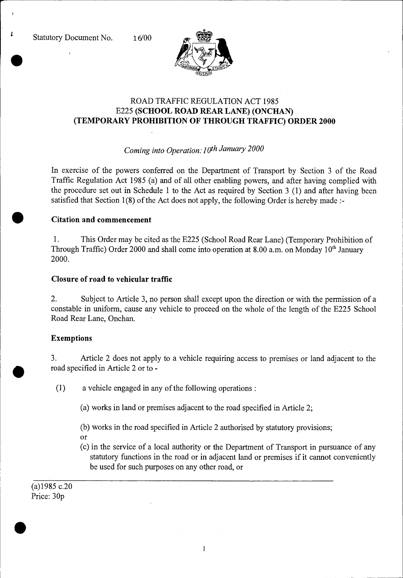t



# ROAD TRAFFIC REGULATION ACT 1985 E225 **(SCHOOL ROAD REAR LANE) (ONCHAN) (TEMPORARY PROHIBITION OF THROUGH TRAFFIC) ORDER 2000**

## *Coming into Operation:1 oth January 2000*

In exercise of the powers conferred on the Department of Transport by Section 3 of the Road Traffic Regulation Act 1985 (a) and of all other enabling powers, and after having complied with the procedure set out in Schedule 1 to the Act as required by Section 3 (1) and after having been satisfied that Section 1(8) of the Act does not apply, the following Order is hereby made :-

### **• Citation and commencement**

1. This Order may be cited as the E225 (School Road Rear Lane) (Temporary Prohibition of Through Traffic) Order 2000 and shall come into operation at 8.00 a.m. on Monday 10<sup>th</sup> January 2000.

### **Closure of road to vehicular traffic**

2. Subject to Article 3, no person shall except upon the direction or with the permission of a constable in uniform, cause any vehicle to proceed on the whole of the length of the E225 School Road Rear Lane, Onchan.

## **Exemptions**

3. Article 2 does not apply to a vehicle requiring access to premises or land adjacent to the road specified in Article 2 or to -

(1) a vehicle engaged in any of the following operations :

- (a) works in land or premises adjacent to the road specified in Article 2;
- (b) works in the road specified in Article 2 authorised by statutory provisions;
- or
- (c) in the service of a local authority or the Department of Transport in pursuance of any statutory functions in the road or in adjacent land or premises if it cannot conveniently be used for such purposes on any other road, or

(a)1985 c.20 Price: 30p

•